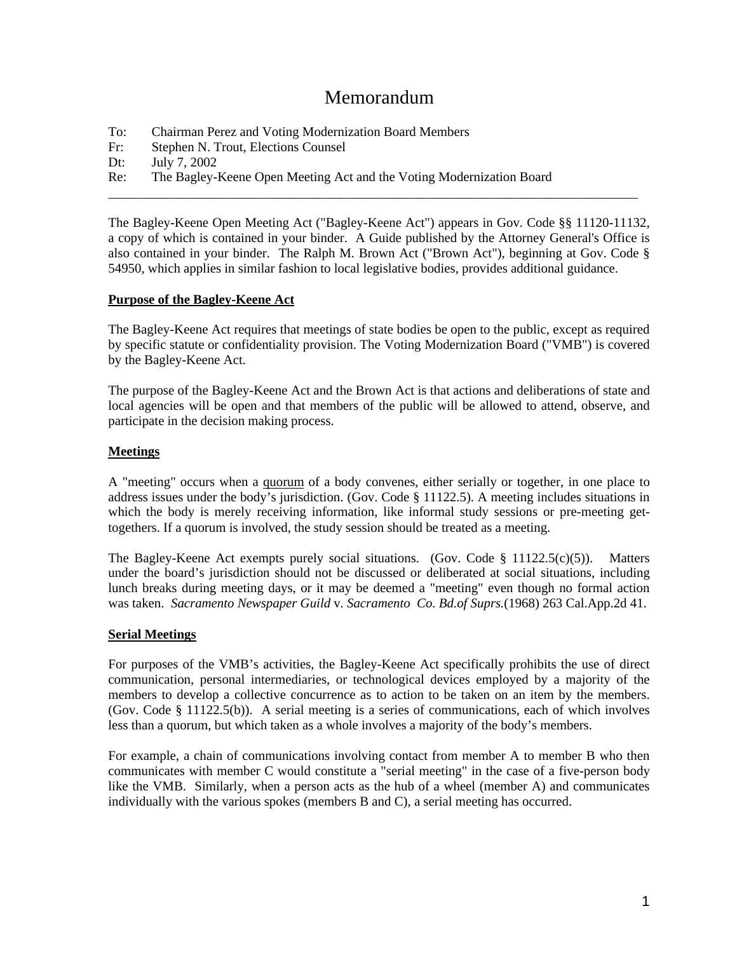# Memorandum

- To: Chairman Perez and Voting Modernization Board Members
- Fr: Stephen N. Trout, Elections Counsel
- Dt: July 7, 2002
- Re: The Bagley-Keene Open Meeting Act and the Voting Modernization Board

The Bagley-Keene Open Meeting Act ("Bagley-Keene Act") appears in Gov. Code §§ 11120-11132, a copy of which is contained in your binder. A Guide published by the Attorney General's Office is also contained in your binder. The Ralph M. Brown Act ("Brown Act"), beginning at Gov. Code § 54950, which applies in similar fashion to local legislative bodies, provides additional guidance.

\_\_\_\_\_\_\_\_\_\_\_\_\_\_\_\_\_\_\_\_\_\_\_\_\_\_\_\_\_\_\_\_\_\_\_\_\_\_\_\_\_\_\_\_\_\_\_\_\_\_\_\_\_\_\_\_\_\_\_\_\_\_\_\_\_\_\_\_\_\_\_\_\_\_\_\_\_\_\_\_

### **Purpose of the Bagley-Keene Act**

The Bagley-Keene Act requires that meetings of state bodies be open to the public, except as required by specific statute or confidentiality provision. The Voting Modernization Board ("VMB") is covered by the Bagley-Keene Act.

The purpose of the Bagley-Keene Act and the Brown Act is that actions and deliberations of state and local agencies will be open and that members of the public will be allowed to attend, observe, and participate in the decision making process.

# **Meetings**

A "meeting" occurs when a quorum of a body convenes, either serially or together, in one place to address issues under the body's jurisdiction. (Gov. Code § 11122.5). A meeting includes situations in which the body is merely receiving information, like informal study sessions or pre-meeting gettogethers. If a quorum is involved, the study session should be treated as a meeting.

The Bagley-Keene Act exempts purely social situations. (Gov. Code  $\S$  11122.5(c)(5)). Matters under the board's jurisdiction should not be discussed or deliberated at social situations, including lunch breaks during meeting days, or it may be deemed a "meeting" even though no formal action was taken. *Sacramento Newspaper Guild* v. *Sacramento Co. Bd.of Suprs.*(1968) 263 Cal.App.2d 41.

# **Serial Meetings**

For purposes of the VMB's activities, the Bagley-Keene Act specifically prohibits the use of direct communication, personal intermediaries, or technological devices employed by a majority of the members to develop a collective concurrence as to action to be taken on an item by the members. (Gov. Code § 11122.5(b)). A serial meeting is a series of communications, each of which involves less than a quorum, but which taken as a whole involves a majority of the body's members.

For example, a chain of communications involving contact from member A to member B who then communicates with member C would constitute a "serial meeting" in the case of a five-person body like the VMB. Similarly, when a person acts as the hub of a wheel (member A) and communicates individually with the various spokes (members B and C), a serial meeting has occurred.